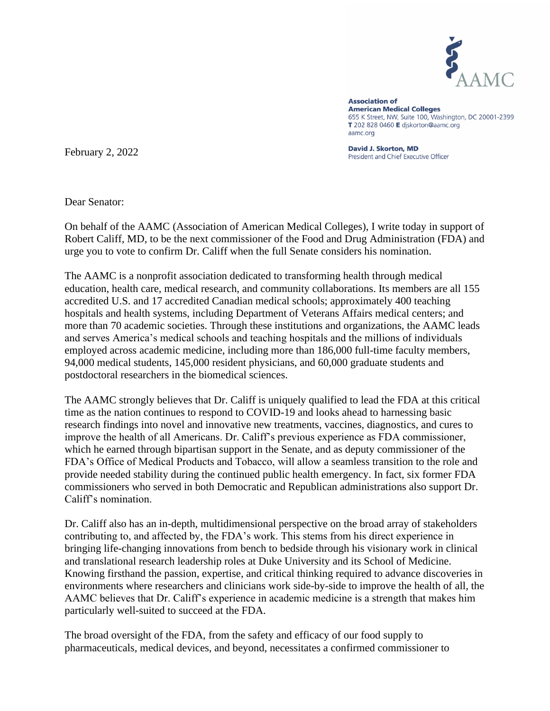

**Association of American Medical Colleges** 655 K Street, NW, Suite 100, Washington, DC 20001-2399 T 202 828 0460 E diskorton@aamc.org aamc.org

David J. Skorton, MD President and Chief Executive Officer

February 2, 2022

Dear Senator:

On behalf of the AAMC (Association of American Medical Colleges), I write today in support of Robert Califf, MD, to be the next commissioner of the Food and Drug Administration (FDA) and urge you to vote to confirm Dr. Califf when the full Senate considers his nomination.

The AAMC is a nonprofit association dedicated to transforming health through medical education, health care, medical research, and community collaborations. Its members are all 155 accredited U.S. and 17 accredited Canadian medical schools; approximately 400 teaching hospitals and health systems, including Department of Veterans Affairs medical centers; and more than 70 academic societies. Through these institutions and organizations, the AAMC leads and serves America's medical schools and teaching hospitals and the millions of individuals employed across academic medicine, including more than 186,000 full-time faculty members, 94,000 medical students, 145,000 resident physicians, and 60,000 graduate students and postdoctoral researchers in the biomedical sciences.

The AAMC strongly believes that Dr. Califf is uniquely qualified to lead the FDA at this critical time as the nation continues to respond to COVID-19 and looks ahead to harnessing basic research findings into novel and innovative new treatments, vaccines, diagnostics, and cures to improve the health of all Americans. Dr. Califf's previous experience as FDA commissioner, which he earned through bipartisan support in the Senate, and as deputy commissioner of the FDA's Office of Medical Products and Tobacco, will allow a seamless transition to the role and provide needed stability during the continued public health emergency. In fact, six former FDA commissioners who served in both Democratic and Republican administrations also support Dr. Califf's nomination.

Dr. Califf also has an in-depth, multidimensional perspective on the broad array of stakeholders contributing to, and affected by, the FDA's work. This stems from his direct experience in bringing life-changing innovations from bench to bedside through his visionary work in clinical and translational research leadership roles at Duke University and its School of Medicine. Knowing firsthand the passion, expertise, and critical thinking required to advance discoveries in environments where researchers and clinicians work side-by-side to improve the health of all, the AAMC believes that Dr. Califf's experience in academic medicine is a strength that makes him particularly well-suited to succeed at the FDA.

The broad oversight of the FDA, from the safety and efficacy of our food supply to pharmaceuticals, medical devices, and beyond, necessitates a confirmed commissioner to